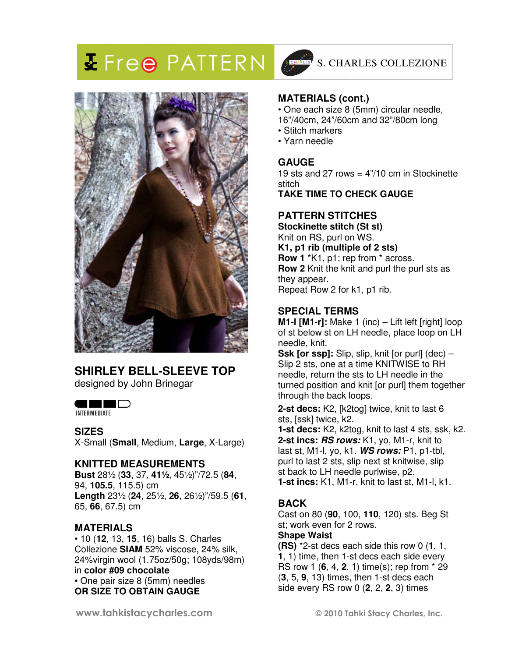# **X** Free PATTERN



# **SHIRLEY BELL-SLEEVE TOP**

designed by John Brinegar

## **OHER**

INTERMEDIATE

#### **SIZES**

X-Small (**Small**, Medium, **Large**, X-Large)

#### **KNITTED MEASUREMENTS**

**Bust** 28½ (**33**, 37, **41½**, 45½)"/72.5 (**84**, 94, **105.5**, 115.5) cm **Length** 23½ (**24**, 25½, **26**, 26½)"/59.5 (**61**, 65, **66**, 67.5) cm

## **MATERIALS**

• 10 (**12**, 13, **15**, 16) balls S. Charles Collezione **SIAM** 52% viscose, 24% silk, 24%virgin wool (1.75oz/50g; 108yds/98m) in **color #09 chocolate** • One pair size 8 (5mm) needles **OR SIZE TO OBTAIN GAUGE** 



## S. CHARLES COLLEZIONE

#### **MATERIALS (cont.)**

- One each size 8 (5mm) circular needle,
- 16"/40cm, 24"/60cm and 32"/80cm long
- Stitch markers
- Yarn needle

#### **GAUGE**

19 sts and 27 rows  $= 4$ "/10 cm in Stockinette stitch **TAKE TIME TO CHECK GAUGE** 

## **PATTERN STITCHES**

**Stockinette stitch (St st)**  Knit on RS, purl on WS. **K1, p1 rib (multiple of 2 sts) Row 1** \*K1, p1; rep from \* across. **Row 2** Knit the knit and purl the purl sts as they appear. Repeat Row 2 for k1, p1 rib.

## **SPECIAL TERMS**

**M1-l [M1-r]:** Make 1 (inc) – Lift left [right] loop of st below st on LH needle, place loop on LH needle, knit.

 needle, return the sts to LH needle in the **Ssk [or ssp]:** Slip, slip, knit [or purl] (dec) – Slip 2 sts, one at a time KNITWISE to RH turned position and knit [or purl] them together through the back loops.

**2-st decs:** K2, [k2tog] twice, knit to last 6 sts, [ssk] twice, k2.

**1-st decs:** K2, k2tog, knit to last 4 sts, ssk, k2. **2-st incs: RS rows:** K1, yo, M1-r, knit to last st, M1-l, yo, k1. **WS rows:** P1, p1-tbl, purl to last 2 sts, slip next st knitwise, slip st back to LH needle purlwise, p2. **1-st incs:** K1, M1-r, knit to last st, M1-l, k1.

## **BACK**

Cast on 80 (**90**, 100, **110**, 120) sts. Beg St st; work even for 2 rows.

#### **Shape Waist**

**(RS)** \*2-st decs each side this row 0 (**1**, 1, **1**, 1) time, then 1-st decs each side every RS row 1 (**6**, 4, **2**, 1) time(s); rep from \* 29 (**3**, 5, **9**, 13) times, then 1-st decs each side every RS row 0 (**2**, 2, **2**, 3) times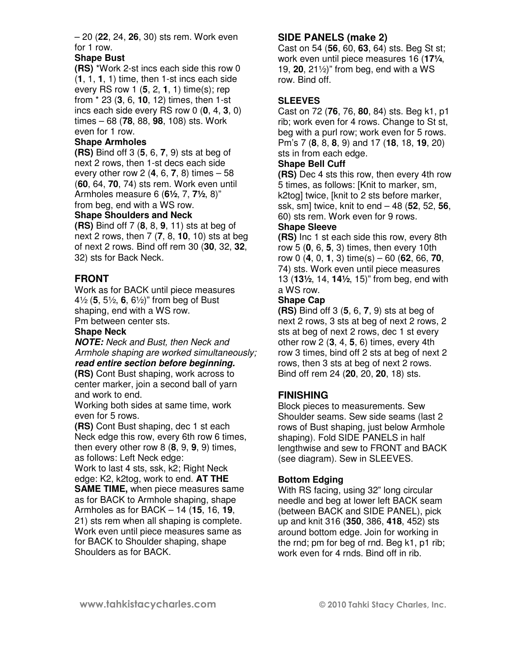– 20 (**22**, 24, **26**, 30) sts rem. Work even for 1 row.

#### **Shape Bust**

**(RS)** \*Work 2-st incs each side this row 0 (**1**, 1, **1**, 1) time, then 1-st incs each side every RS row 1 (**5**, 2, **1**, 1) time(s); rep from \* 23 (**3**, 6, **10**, 12) times, then 1-st incs each side every RS row 0 (**0**, 4, **3**, 0) times – 68 (**78**, 88, **98**, 108) sts. Work even for 1 row.

#### **Shape Armholes**

**(RS)** Bind off 3 (**5**, 6, **7**, 9) sts at beg of next 2 rows, then 1-st decs each side every other row 2 (**4**, 6, **7**, 8) times – 58 (**60**, 64, **70**, 74) sts rem. Work even until Armholes measure 6 (**6½**, 7, **7½**, 8)" from beg, end with a WS row.

# **Shape Shoulders and Neck**

**(RS)** Bind off 7 (**8**, 8, **9**, 11) sts at beg of next 2 rows, then 7 (**7**, 8, **10**, 10) sts at beg of next 2 rows. Bind off rem 30 (**30**, 32, **32**, 32) sts for Back Neck.

## **FRONT**

Work as for BACK until piece measures 4½ (**5**, 5½, **6**, 6½)" from beg of Bust shaping, end with a WS row. Pm between center sts.

## **Shape Neck**

**NOTE:** Neck and Bust, then Neck and Armhole shaping are worked simultaneously; **read entire section before beginning.**

**(RS)** Cont Bust shaping, work across to center marker, join a second ball of yarn and work to end.

Working both sides at same time, work even for 5 rows.

**(RS)** Cont Bust shaping, dec 1 st each Neck edge this row, every 6th row 6 times, then every other row 8 (**8**, 9, **9**, 9) times, as follows: Left Neck edge:

Work to last 4 sts, ssk, k2; Right Neck edge: K2, k2tog, work to end. **AT THE SAME TIME,** when piece measures same as for BACK to Armhole shaping, shape Armholes as for BACK – 14 (**15**, 16, **19**, 21) sts rem when all shaping is complete. Work even until piece measures same as for BACK to Shoulder shaping, shape Shoulders as for BACK.

## **SIDE PANELS (make 2)**

Cast on 54 (**56**, 60, **63**, 64) sts. Beg St st; work even until piece measures 16 (**17¼**, 19, **20**, 21½)" from beg, end with a WS row. Bind off.

#### **SLEEVES**

Cast on 72 (**76**, 76, **80**, 84) sts. Beg k1, p1 rib; work even for 4 rows. Change to St st, beg with a purl row; work even for 5 rows. Pm's 7 (**8**, 8, **8**, 9) and 17 (**18**, 18, **19**, 20) sts in from each edge.

#### **Shape Bell Cuff**

**(RS)** Dec 4 sts this row, then every 4th row 5 times, as follows: [Knit to marker, sm, k2tog] twice, [knit to 2 sts before marker, ssk, sm] twice, knit to end – 48 (**52**, 52, **56**, 60) sts rem. Work even for 9 rows.

#### **Shape Sleeve**

**(RS)** Inc 1 st each side this row, every 8th row 5 (**0**, 6, **5**, 3) times, then every 10th row 0 (**4**, 0, **1**, 3) time(s) – 60 (**62**, 66, **70**, 74) sts. Work even until piece measures 13 (**13½**, 14, **14½**, 15)" from beg, end with a WS row.

#### **Shape Cap**

**(RS)** Bind off 3 (**5**, 6, **7**, 9) sts at beg of next 2 rows, 3 sts at beg of next 2 rows, 2 sts at beg of next 2 rows, dec 1 st every other row 2 (**3**, 4, **5**, 6) times, every 4th row 3 times, bind off 2 sts at beg of next 2 rows, then 3 sts at beg of next 2 rows. Bind off rem 24 (**20**, 20, **20**, 18) sts.

#### **FINISHING**

Block pieces to measurements. Sew Shoulder seams. Sew side seams (last 2 rows of Bust shaping, just below Armhole shaping). Fold SIDE PANELS in half lengthwise and sew to FRONT and BACK (see diagram). Sew in SLEEVES.

#### **Bottom Edging**

With RS facing, using 32" long circular needle and beg at lower left BACK seam (between BACK and SIDE PANEL), pick up and knit 316 (**350**, 386, **418**, 452) sts around bottom edge. Join for working in the rnd; pm for beg of rnd. Beg k1, p1 rib; work even for 4 rnds. Bind off in rib.